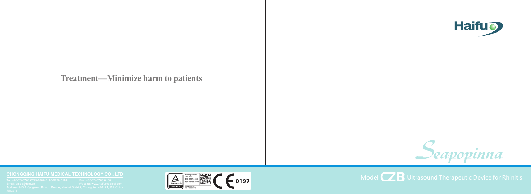# **Treatment—Minimize harm to patients**

#### **CHONGQING HAIFU MEDICAL TECHNOLOGY CO., LTD**







Model  $\mathbf{Z}$  **B** Ultrasound Therapeutic Device for Rhinitis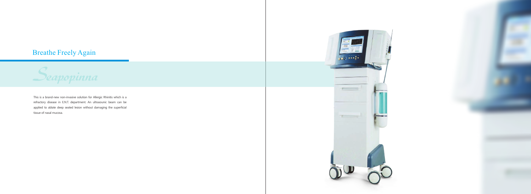# Breathe Freely Again



This is a brand-new non-invasive solution for Allergic Rhinitis which is a refractory disease in E.N.T. department. An ultrasounic beam can be applied to ablate deep seated lesion without damaging the superficial tissue of nasal mucosa.



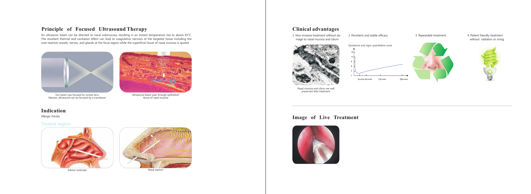# **Principle of Focused Ultrasound Therapy**

An ultrasonic beam can be directed to nasal submucosa, resulting in an instant temperature rise to above 65°C. The resultant thermal and cavitation effect can lead to coagulative necrosis of the targeted tissue including the over-reactive vessels, nerves, and glands at the focal region while the superficial tissue of nasal mucosa is spared.



Sun beam was focused by convex lens, likewise, ultrasound can be focused by a transducer



Ultrasound beam pass through epithelium tissue of nasal mucosa

## **Indication**

#### Treated region



Inferior turbinate **Nasal septum** 



## **Clinical advantages**

Allergic rhinitis

1. Non-invasive treatment without da mage to nasal mucosa and cilium



Nasal mucosa and cilium are well preserved after treatment

3. Repeatable treatment 4. Patient friendly treatment without radiation or smog





### **Image of Live Treatment**





2. Persistent and stable efficacy

Symptoms and signs quantitative score

3 months 6 months 12 months months 24 months